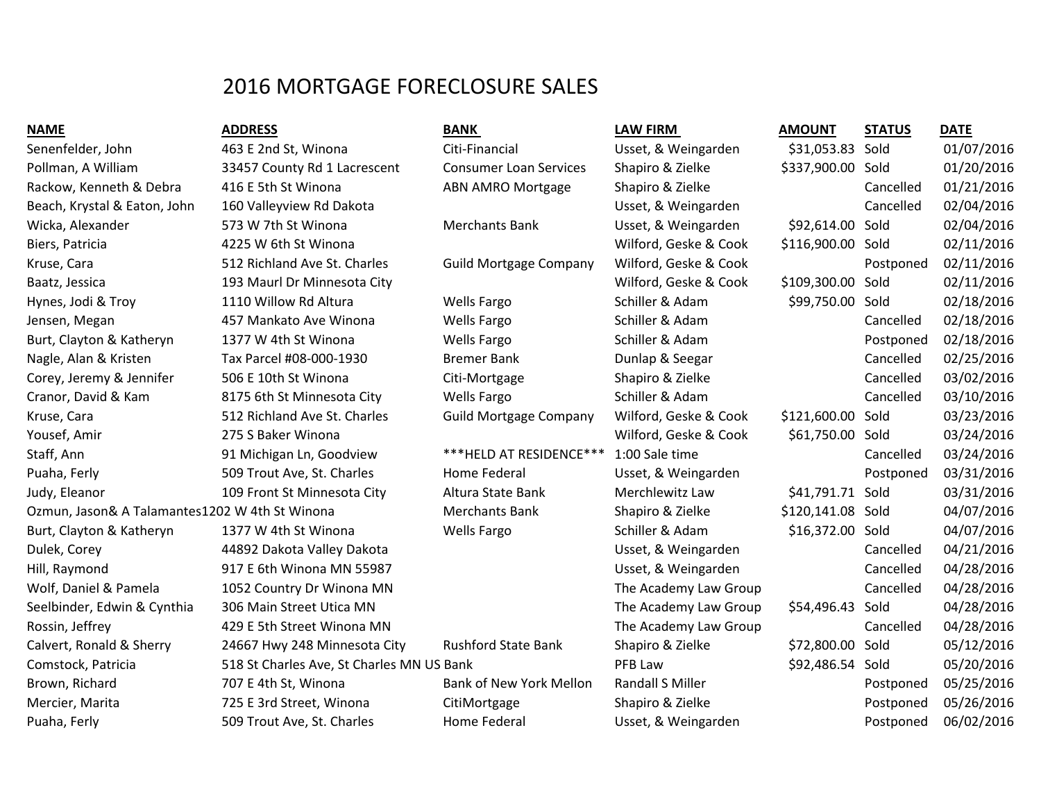## 2016 MORTGAGE FORECLOSURE SALES

| .,<br>.,<br>. .<br>.<br>. .<br>. . |
|------------------------------------|
|------------------------------------|

| <b>NAME</b>                                    | <b>ADDRESS</b>                            | <b>BANK</b>                   | <b>LAW FIRM</b>         | <b>AMOUNT</b>     | <b>STATUS</b> | <b>DATE</b> |
|------------------------------------------------|-------------------------------------------|-------------------------------|-------------------------|-------------------|---------------|-------------|
| Senenfelder, John                              | 463 E 2nd St, Winona                      | Citi-Financial                | Usset, & Weingarden     | \$31,053.83 Sold  |               | 01/07/2016  |
| Pollman, A William                             | 33457 County Rd 1 Lacrescent              | <b>Consumer Loan Services</b> | Shapiro & Zielke        | \$337,900.00 Sold |               | 01/20/2016  |
| Rackow, Kenneth & Debra                        | 416 E 5th St Winona                       | <b>ABN AMRO Mortgage</b>      | Shapiro & Zielke        |                   | Cancelled     | 01/21/2016  |
| Beach, Krystal & Eaton, John                   | 160 Valleyview Rd Dakota                  |                               | Usset, & Weingarden     |                   | Cancelled     | 02/04/2016  |
| Wicka, Alexander                               | 573 W 7th St Winona                       | <b>Merchants Bank</b>         | Usset, & Weingarden     | \$92,614.00 Sold  |               | 02/04/2016  |
| Biers, Patricia                                | 4225 W 6th St Winona                      |                               | Wilford, Geske & Cook   | \$116,900.00 Sold |               | 02/11/2016  |
| Kruse, Cara                                    | 512 Richland Ave St. Charles              | <b>Guild Mortgage Company</b> | Wilford, Geske & Cook   |                   | Postponed     | 02/11/2016  |
| Baatz, Jessica                                 | 193 Maurl Dr Minnesota City               |                               | Wilford, Geske & Cook   | \$109,300.00 Sold |               | 02/11/2016  |
| Hynes, Jodi & Troy                             | 1110 Willow Rd Altura                     | <b>Wells Fargo</b>            | Schiller & Adam         | \$99,750.00 Sold  |               | 02/18/2016  |
| Jensen, Megan                                  | 457 Mankato Ave Winona                    | <b>Wells Fargo</b>            | Schiller & Adam         |                   | Cancelled     | 02/18/2016  |
| Burt, Clayton & Katheryn                       | 1377 W 4th St Winona                      | <b>Wells Fargo</b>            | Schiller & Adam         |                   | Postponed     | 02/18/2016  |
| Nagle, Alan & Kristen                          | Tax Parcel #08-000-1930                   | <b>Bremer Bank</b>            | Dunlap & Seegar         |                   | Cancelled     | 02/25/2016  |
| Corey, Jeremy & Jennifer                       | 506 E 10th St Winona                      | Citi-Mortgage                 | Shapiro & Zielke        |                   | Cancelled     | 03/02/2016  |
| Cranor, David & Kam                            | 8175 6th St Minnesota City                | <b>Wells Fargo</b>            | Schiller & Adam         |                   | Cancelled     | 03/10/2016  |
| Kruse, Cara                                    | 512 Richland Ave St. Charles              | <b>Guild Mortgage Company</b> | Wilford, Geske & Cook   | \$121,600.00 Sold |               | 03/23/2016  |
| Yousef, Amir                                   | 275 S Baker Winona                        |                               | Wilford, Geske & Cook   | \$61,750.00 Sold  |               | 03/24/2016  |
| Staff, Ann                                     | 91 Michigan Ln, Goodview                  | *** HELD AT RESIDENCE***      | 1:00 Sale time          |                   | Cancelled     | 03/24/2016  |
| Puaha, Ferly                                   | 509 Trout Ave, St. Charles                | Home Federal                  | Usset, & Weingarden     |                   | Postponed     | 03/31/2016  |
| Judy, Eleanor                                  | 109 Front St Minnesota City               | Altura State Bank             | Merchlewitz Law         | \$41,791.71 Sold  |               | 03/31/2016  |
| Ozmun, Jason& A Talamantes1202 W 4th St Winona |                                           | <b>Merchants Bank</b>         | Shapiro & Zielke        | \$120,141.08 Sold |               | 04/07/2016  |
| Burt, Clayton & Katheryn                       | 1377 W 4th St Winona                      | <b>Wells Fargo</b>            | Schiller & Adam         | \$16,372.00 Sold  |               | 04/07/2016  |
| Dulek, Corey                                   | 44892 Dakota Valley Dakota                |                               | Usset, & Weingarden     |                   | Cancelled     | 04/21/2016  |
| Hill, Raymond                                  | 917 E 6th Winona MN 55987                 |                               | Usset, & Weingarden     |                   | Cancelled     | 04/28/2016  |
| Wolf, Daniel & Pamela                          | 1052 Country Dr Winona MN                 |                               | The Academy Law Group   |                   | Cancelled     | 04/28/2016  |
| Seelbinder, Edwin & Cynthia                    | 306 Main Street Utica MN                  |                               | The Academy Law Group   | \$54,496.43 Sold  |               | 04/28/2016  |
| Rossin, Jeffrey                                | 429 E 5th Street Winona MN                |                               | The Academy Law Group   |                   | Cancelled     | 04/28/2016  |
| Calvert, Ronald & Sherry                       | 24667 Hwy 248 Minnesota City              | <b>Rushford State Bank</b>    | Shapiro & Zielke        | \$72,800.00 Sold  |               | 05/12/2016  |
| Comstock, Patricia                             | 518 St Charles Ave, St Charles MN US Bank |                               | PFB Law                 | \$92,486.54 Sold  |               | 05/20/2016  |
| Brown, Richard                                 | 707 E 4th St, Winona                      | Bank of New York Mellon       | <b>Randall S Miller</b> |                   | Postponed     | 05/25/2016  |
| Mercier, Marita                                | 725 E 3rd Street, Winona                  | CitiMortgage                  | Shapiro & Zielke        |                   | Postponed     | 05/26/2016  |
| Puaha, Ferly                                   | 509 Trout Ave, St. Charles                | Home Federal                  | Usset, & Weingarden     |                   | Postponed     | 06/02/2016  |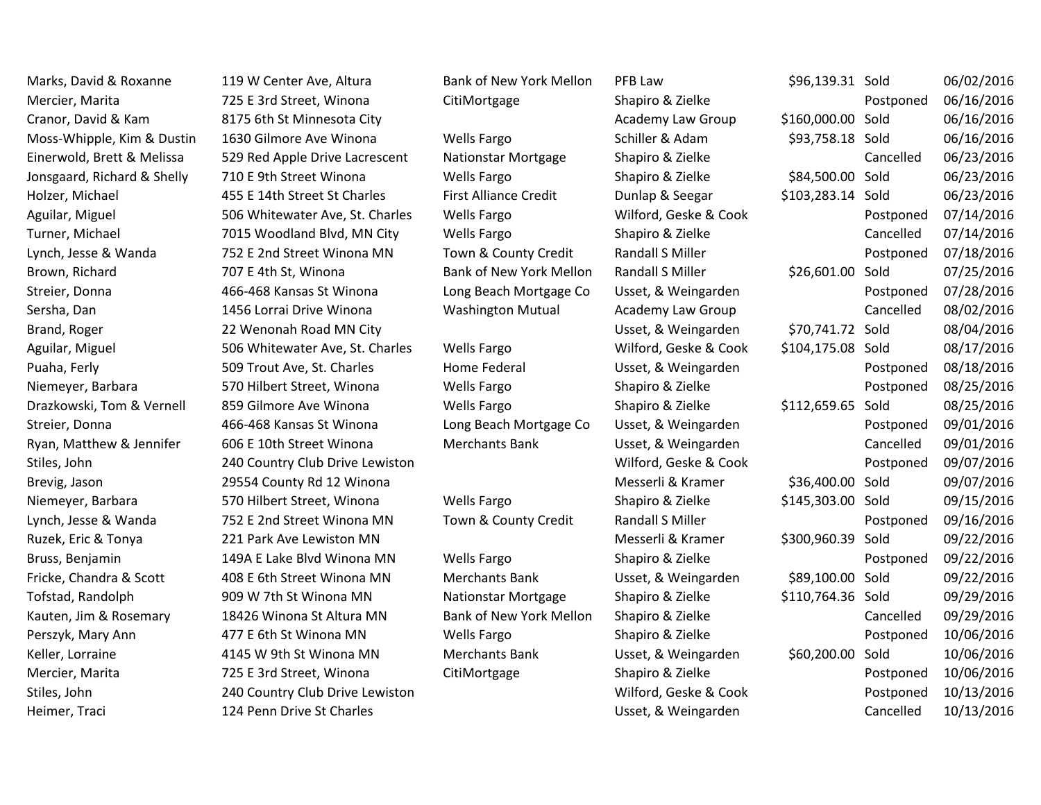Marks, David & Roxanne and 119 W Center Ave, Altura and Bank of New York Mellon PFB Law \$96,139.31 Sold 06/02/2016 Mercier, Marita **19. Interpolat 19. In the Street August 2016** CitiMortgage Shapiro & Zielke Postponed 06/16/2016 Cranor, David & Kam 8175 6th St Minnesota City **Academy Law Group** \$160,000.00 Sold 06/16/2016 Moss-Whipple, Kim & Dustin 1630 Gilmore Ave Winona Wells Fargo Schiller & Adam \$93,758.18 Sold 06/16/2016 Einerwold, Brett & Melissa 529 Red Apple Drive Lacrescent Nationstar Mortgage Shapiro & Zielke Cancelled 06/23/2016 Jonsgaard, Richard & Shelly 710 E 9th Street Winona Wells Fargo Shapiro & Zielke \$84,500.00 Sold 06/23/2016 Holzer, Michael **455 E 14th Street St Charles** First Alliance Credit Dunlap & Seegar \$103,283.14 Sold 06/23/2016 Aguilar, Miguel 67/14/2016 506 Whitewater Ave, St. Charles Wells Fargo Wilford, Geske & Cook Postponed 07/14/2016 Turner, Michael 2015 Woodland Blvd, MN City Wells Fargo Shapiro & Zielke Cancelled 07/14/2016 Lynch, Jesse & Wanda 2752 E 2nd Street Winona MN Town & County Credit Randall S Miller Postponed 07/18/2016 Brown, Richard 2707 E 4th St, Winona Bank of New York Mellon Randall S Miller 526,601.00 Sold 07/25/2016 Streier, Donna **166-468 Kansas St Winona** Long Beach Mortgage Co Usset, & Weingarden Postponed 07/28/2016 Sersha, Dan 1456 Lorrai Drive Winona Washington Mutual Academy Law Group Cancelled 08/02/2016 Brand, Roger 22 Wenonah Road MN City Chronesses and Usset, & Weingarden 570,741.72 Sold 08/04/2016 Aguilar, Miguel 68/17/2016 506 Whitewater Ave, St. Charles Wells Fargo Wilford, Geske & Cook \$104,175.08 Sold 08/17/2016 Puaha, Ferly **1988 Constructs Constructs Ave, St. Charles** Home Federal Usset, & Weingarden Postponed 08/18/2016 Niemeyer, Barbara 68/25/2016 570 Hilbert Street, Winona Wells Fargo Shapiro & Zielke Postponed 08/25/2016 Drazkowski, Tom & Vernell 859 Gilmore Ave Winona Wells Fargo Shapiro & Zielke \$112,659.65 Sold 08/25/2016 Streier, Donna **166-468 Kansas St Winona** Long Beach Mortgage Co Usset, & Weingarden Postponed 09/01/2016 Ryan, Matthew & Jennifer 606 E 10th Street Winona Merchants Bank Usset, & Weingarden Cancelled 09/01/2016 Stiles, John 240 Country Club Drive Lewiston Number 2006 Wilford, Geske & Cook Postponed 09/07/2016 Brevig, Jason 29554 County Rd 12 Winona 2008 Messerli & Kramer 536,400.00 Sold 09/07/2016 Niemeyer, Barbara 6 1570 Hilbert Street, Winona Wells Fargo Shapiro & Zielke \$145,303.00 Sold 09/15/2016 Lynch, Jesse & Wanda 252 E 2nd Street Winona MN Town & County Credit Randall S Miller Postponed 09/16/2016 Ruzek, Eric & Tonya **221 Park Ave Lewiston MN** Messerli & Kramer \$300,960.39 Sold 09/22/2016 Bruss, Benjamin 149A E Lake Blvd Winona MN Wells Fargo Shapiro & Zielke Postponed 09/22/2016 Fricke, Chandra & Scott  $\frac{408 \text{ E } \text{6} \text{th Street Winona MN}}{408 \text{ E } \text{6} \text{th Street Winona MN}}$  Merchants Bank Usset, & Weingarden \$89,100.00 Sold 09/22/2016 Tofstad, Randolph 909 W 7th St Winona MN Nationstar Mortgage Shapiro & Zielke \$110,764.36 Sold 09/29/2016 Kauten, Jim & Rosemary and 18426 Winona St Altura MN Bank of New York Mellon Shapiro & Zielke Cancelled 09/29/2016 Perszyk, Mary Ann **10/06/2016** Ann and 477 E 6th St Winona MN Wells Fargo Shapiro & Zielke Postponed 10/06/2016 Keller, Lorraine **19th Australia Australia Millet Australia Merchants Bank** Usset, & Weingarden \$60,200.00 Sold 10/06/2016 Mercier, Marita **10/06/2016** 225 E 3rd Street, Winona CitiMortgage Shapiro & Zielke Postponed 10/06/2016 Stiles, John 240 Country Club Drive Lewiston Number 2008 Wilford, Geske & Cook Postponed 10/13/2016 Heimer, Traci **124 Penn Drive St Charles Cancelled** 10/13/2016 Usset, & Weingarden Cancelled 10/13/2016